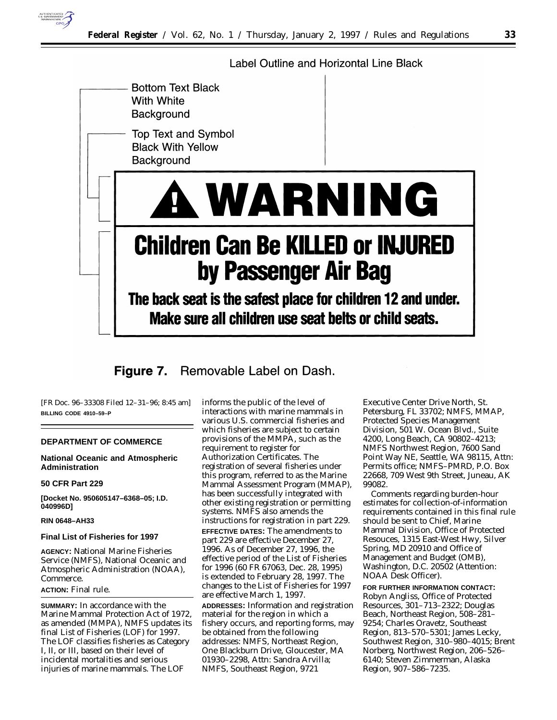

Label Outline and Horizontal Line Black



Removable Label on Dash. Figure 7.

[FR Doc. 96–33308 Filed 12–31–96; 8:45 am] **BILLING CODE 4910–59–P**

# **DEPARTMENT OF COMMERCE**

# **National Oceanic and Atmospheric Administration**

## **50 CFR Part 229**

**[Docket No. 950605147–6368–05; I.D. 040996D]**

# **RIN 0648–AH33**

#### **Final List of Fisheries for 1997**

**AGENCY:** National Marine Fisheries Service (NMFS), National Oceanic and Atmospheric Administration (NOAA), Commerce.

# **ACTION:** Final rule.

**SUMMARY:** In accordance with the Marine Mammal Protection Act of 1972, as amended (MMPA), NMFS updates its final List of Fisheries (LOF) for 1997. The LOF classifies fisheries as Category I, II, or III, based on their level of incidental mortalities and serious injuries of marine mammals. The LOF

informs the public of the level of interactions with marine mammals in various U.S. commercial fisheries and which fisheries are subject to certain provisions of the MMPA, such as the requirement to register for Authorization Certificates. The registration of several fisheries under this program, referred to as the Marine Mammal Assessment Program (MMAP), has been successfully integrated with other existing registration or permitting systems. NMFS also amends the instructions for registration in part 229. **EFFECTIVE DATES:** The amendments to part 229 are effective December 27, 1996. As of December 27, 1996, the effective period of the List of Fisheries for 1996 (60 FR 67063, Dec. 28, 1995) is extended to February 28, 1997. The changes to the List of Fisheries for 1997 are effective March 1, 1997. **ADDRESSES:** Information and registration material for the region in which a fishery occurs, and reporting forms, may be obtained from the following addresses: NMFS, Northeast Region, One Blackburn Drive, Gloucester, MA 01930–2298, Attn: Sandra Arvilla; NMFS, Southeast Region, 9721

Executive Center Drive North, St. Petersburg, FL 33702; NMFS, MMAP, Protected Species Management Division, 501 W. Ocean Blvd., Suite 4200, Long Beach, CA 90802–4213; NMFS Northwest Region, 7600 Sand Point Way NE, Seattle, WA 98115, Attn: Permits office; NMFS–PMRD, P.O. Box 22668, 709 West 9th Street, Juneau, AK 99082.

Comments regarding burden-hour estimates for collection-of-information requirements contained in this final rule should be sent to Chief, Marine Mammal Division, Office of Protected Resouces, 1315 East-West Hwy, Silver Spring, MD 20910 and Office of Management and Budget (OMB), Washington, D.C. 20502 (Attention: NOAA Desk Officer).

**FOR FURTHER INFORMATION CONTACT:** Robyn Angliss, Office of Protected Resources, 301–713–2322; Douglas Beach, Northeast Region, 508–281– 9254; Charles Oravetz, Southeast Region, 813–570–5301; James Lecky, Southwest Region, 310–980–4015; Brent Norberg, Northwest Region, 206–526– 6140; Steven Zimmerman, Alaska Region, 907–586–7235.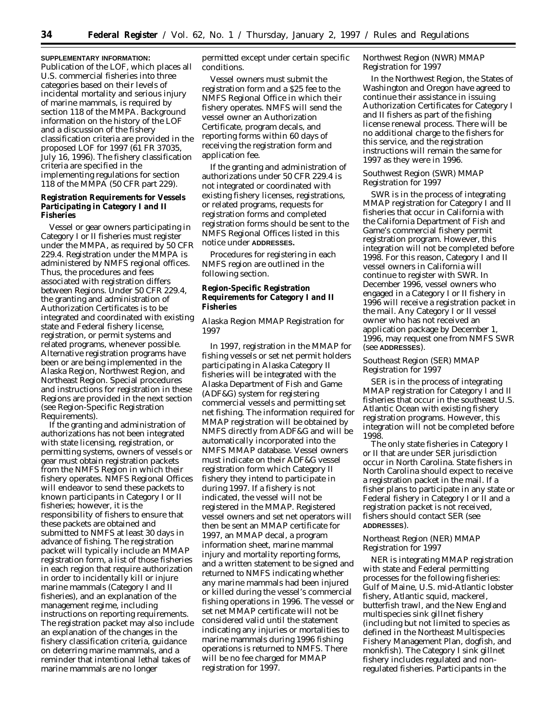**SUPPLEMENTARY INFORMATION:** Publication of the LOF, which places all U.S. commercial fisheries into three categories based on their levels of incidental mortality and serious injury of marine mammals, is required by section 118 of the MMPA. Background information on the history of the LOF and a discussion of the fishery classification criteria are provided in the proposed LOF for 1997 (61 FR 37035, July 16, 1996). The fishery classification criteria are specified in the implementing regulations for section 118 of the MMPA (50 CFR part 229).

**Registration Requirements for Vessels Participating in Category I and II Fisheries**

Vessel or gear owners participating in Category I or II fisheries must register under the MMPA, as required by 50 CFR 229.4. Registration under the MMPA is administered by NMFS regional offices. Thus, the procedures and fees associated with registration differs between Regions. Under 50 CFR 229.4, the granting and administration of Authorization Certificates is to be integrated and coordinated with existing state and Federal fishery license, registration, or permit systems and related programs, whenever possible. Alternative registration programs have been or are being implemented in the Alaska Region, Northwest Region, and Northeast Region. Special procedures and instructions for registration in these Regions are provided in the next section (see Region-Specific Registration Requirements).

If the granting and administration of authorizations has not been integrated with state licensing, registration, or permitting systems, owners of vessels or gear must obtain registration packets from the NMFS Region in which their fishery operates. NMFS Regional Offices will endeavor to send these packets to known participants in Category I or II fisheries; however, it is the responsibility of fishers to ensure that these packets are obtained and submitted to NMFS at least 30 days in advance of fishing. The registration packet will typically include an MMAP registration form, a list of those fisheries in each region that require authorization in order to incidentally kill or injure marine mammals (Category I and II fisheries), and an explanation of the management regime, including instructions on reporting requirements. The registration packet may also include an explanation of the changes in the fishery classification criteria, guidance on deterring marine mammals, and a reminder that intentional lethal takes of marine mammals are no longer

permitted except under certain specific conditions.

Vessel owners must submit the registration form and a \$25 fee to the NMFS Regional Office in which their fishery operates. NMFS will send the vessel owner an Authorization Certificate, program decals, and reporting forms within 60 days of receiving the registration form and application fee.

If the granting and administration of authorizations under 50 CFR 229.4 is not integrated or coordinated with existing fishery licenses, registrations, or related programs, requests for registration forms and completed registration forms should be sent to the NMFS Regional Offices listed in this notice under **ADDRESSES.**

Procedures for registering in each NMFS region are outlined in the following section.

**Region-Specific Registration Requirements for Category I and II Fisheries**

# *Alaska Region MMAP Registration for 1997*

In 1997, registration in the MMAP for fishing vessels or set net permit holders participating in Alaska Category II fisheries will be integrated with the Alaska Department of Fish and Game (ADF&G) system for registering commercial vessels and permitting set net fishing. The information required for MMAP registration will be obtained by NMFS directly from ADF&G and will be automatically incorporated into the NMFS MMAP database. Vessel owners must indicate on their ADF&G vessel registration form which Category II fishery they intend to participate in during 1997. If a fishery is not indicated, the vessel will not be registered in the MMAP. Registered vessel owners and set net operators will then be sent an MMAP certificate for 1997, an MMAP decal, a program information sheet, marine mammal injury and mortality reporting forms, and a written statement to be signed and returned to NMFS indicating whether any marine mammals had been injured or killed during the vessel's commercial fishing operations in 1996. The vessel or set net MMAP certificate will not be considered valid until the statement indicating any injuries or mortalities to marine mammals during 1996 fishing operations is returned to NMFS. There will be no fee charged for MMAP registration for 1997.

## *Northwest Region (NWR) MMAP Registration for 1997*

In the Northwest Region, the States of Washington and Oregon have agreed to continue their assistance in issuing Authorization Certificates for Category I and II fishers as part of the fishing license renewal process. There will be no additional charge to the fishers for this service, and the registration instructions will remain the same for 1997 as they were in 1996.

# *Southwest Region (SWR) MMAP Registration for 1997*

SWR is in the process of integrating MMAP registration for Category I and II fisheries that occur in California with the California Department of Fish and Game's commercial fishery permit registration program. However, this integration will not be completed before 1998. For this reason, Category I and II vessel owners in California will continue to register with SWR. In December 1996, vessel owners who engaged in a Category I or II fishery in 1996 will receive a registration packet in the mail. Any Category I or II vessel owner who has not received an application package by December 1, 1996, may request one from NMFS SWR (see **ADDRESSES**).

# *Southeast Region (SER) MMAP Registration for 1997*

SER is in the process of integrating MMAP registration for Category I and II fisheries that occur in the southeast U.S. Atlantic Ocean with existing fishery registration programs. However, this integration will not be completed before 1998.

The only state fisheries in Category I or II that are under SER jurisdiction occur in North Carolina. State fishers in North Carolina should expect to receive a registration packet in the mail. If a fisher plans to participate in any state or Federal fishery in Category I or II and a registration packet is not received, fishers should contact SER (see **ADDRESSES**).

# *Northeast Region (NER) MMAP Registration for 1997*

NER is integrating MMAP registration with state and Federal permitting processes for the following fisheries: Gulf of Maine, U.S. mid-Atlantic lobster fishery, Atlantic squid, mackerel, butterfish trawl, and the New England multispecies sink gillnet fishery (including but not limited to species as defined in the Northeast Multispecies Fishery Management Plan, dogfish, and monkfish). The Category I sink gillnet fishery includes regulated and nonregulated fisheries. Participants in the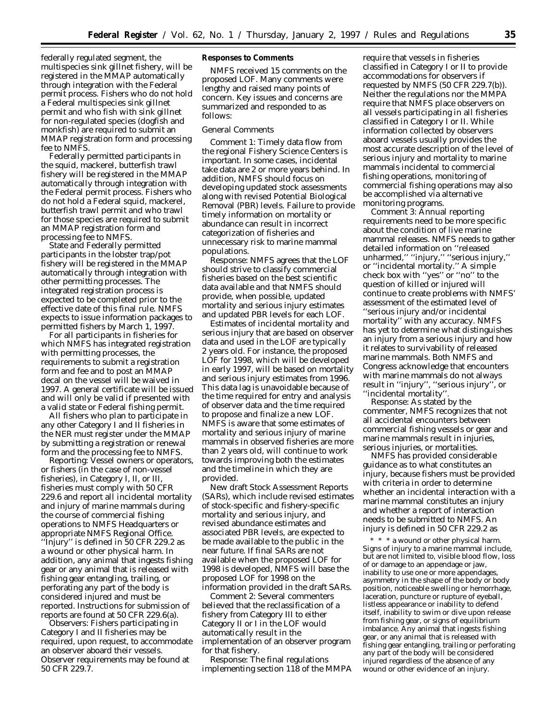federally regulated segment, the multispecies sink gillnet fishery, will be registered in the MMAP automatically through integration with the Federal permit process. Fishers who do not hold a Federal multispecies sink gillnet permit and who fish with sink gillnet for non-regulated species (dogfish and monkfish) are required to submit an MMAP registration form and processing fee to NMFS.

Federally permitted participants in the squid, mackerel, butterfish trawl fishery will be registered in the MMAP automatically through integration with the Federal permit process. Fishers who do not hold a Federal squid, mackerel, butterfish trawl permit and who trawl for those species are required to submit an MMAP registration form and processing fee to NMFS.

State and Federally permitted participants in the lobster trap/pot fishery will be registered in the MMAP automatically through integration with other permitting processes. The integrated registration process is expected to be completed prior to the effective date of this final rule. NMFS expects to issue information packages to permitted fishers by March 1, 1997.

For all participants in fisheries for which NMFS has integrated registration with permitting processes, the requirements to submit a registration form and fee and to post an MMAP decal on the vessel will be waived in 1997. A general certificate will be issued and will only be valid if presented with a valid state or Federal fishing permit.

All fishers who plan to participate in any other Category I and II fisheries in the NER must register under the MMAP by submitting a registration or renewal form and the processing fee to NMFS.

*Reporting:* Vessel owners or operators, or fishers (in the case of non-vessel fisheries), in Category I, II, or III, fisheries must comply with 50 CFR 229.6 and report all incidental mortality and injury of marine mammals during the course of commercial fishing operations to NMFS Headquarters or appropriate NMFS Regional Office. ''Injury'' is defined in 50 CFR 229.2 as a wound or other physical harm. In addition, any animal that ingests fishing gear or any animal that is released with fishing gear entangling, trailing, or perforating any part of the body is considered injured and must be reported. Instructions for submission of reports are found at 50 CFR 229.6(a).

*Observers*: Fishers participating in Category I and II fisheries may be required, upon request, to accommodate an observer aboard their vessels. Observer requirements may be found at 50 CFR 229.7.

## **Responses to Comments**

NMFS received 15 comments on the proposed LOF. Many comments were lengthy and raised many points of concern. Key issues and concerns are summarized and responded to as follows:

# *General Comments*

*Comment 1*: Timely data flow from the regional Fishery Science Centers is important. In some cases, incidental take data are 2 or more years behind. In addition, NMFS should focus on developing updated stock assessments along with revised Potential Biological Removal (PBR) levels. Failure to provide timely information on mortality or abundance can result in incorrect categorization of fisheries and unnecessary risk to marine mammal populations.

*Response*: NMFS agrees that the LOF should strive to classify commercial fisheries based on the best scientific data available and that NMFS should provide, when possible, updated mortality and serious injury estimates and updated PBR levels for each LOF.

Estimates of incidental mortality and serious injury that are based on observer data and used in the LOF are typically 2 years old. For instance, the proposed LOF for 1998, which will be developed in early 1997, will be based on mortality and serious injury estimates from 1996. This data lag is unavoidable because of the time required for entry and analysis of observer data and the time required to propose and finalize a new LOF. NMFS is aware that some estimates of mortality and serious injury of marine mammals in observed fisheries are more than 2 years old, will continue to work towards improving both the estimates and the timeline in which they are provided.

New draft Stock Assessment Reports (SARs), which include revised estimates of stock-specific and fishery-specific mortality and serious injury, and revised abundance estimates and associated PBR levels, are expected to be made available to the public in the near future. If final SARs are not available when the proposed LOF for 1998 is developed, NMFS will base the proposed LOF for 1998 on the information provided in the draft SARs.

*Comment 2*: Several commenters believed that the reclassification of a fishery from Category III to either Category II or I in the LOF would automatically result in the implementation of an observer program for that fishery.

*Response*: The final regulations implementing section 118 of the MMPA require that vessels in fisheries classified in Category I or II to provide accommodations for observers if requested by NMFS (50 CFR 229.7(b)). Neither the regulations nor the MMPA require that NMFS place observers on all vessels participating in all fisheries classified in Category I or II. While information collected by observers aboard vessels usually provides the most accurate description of the level of serious injury and mortality to marine mammals incidental to commercial fishing operations, monitoring of commercial fishing operations may also be accomplished via alternative monitoring programs.

*Comment 3*: Annual reporting requirements need to be more specific about the condition of live marine mammal releases. NMFS needs to gather detailed information on ''released unharmed,'' ''injury,'' ''serious injury,'' or ''incidental mortality.'' A simple check box with ''yes'' or ''no'' to the question of killed or injured will continue to create problems with NMFS' assessment of the estimated level of ''serious injury and/or incidental mortality'' with any accuracy. NMFS has yet to determine what distinguishes an injury from a serious injury and how it relates to survivability of released marine mammals. Both NMFS and Congress acknowledge that encounters with marine mammals do not always result in ''injury'', ''serious injury'', or ''incidental mortality''.

*Response*: As stated by the commenter, NMFS recognizes that not all accidental encounters between commercial fishing vessels or gear and marine mammals result in injuries, serious injuries, or mortalities.

NMFS has provided considerable guidance as to what constitutes an injury, because fishers must be provided with criteria in order to determine whether an incidental interaction with a marine mammal constitutes an injury and whether a report of interaction needs to be submitted to NMFS. An injury is defined in 50 CFR 229.2 as

\* \* \* a wound or other physical harm. Signs of injury to a marine mammal include, but are not limited to, visible blood flow, loss of or damage to an appendage or jaw, inability to use one or more appendages, asymmetry in the shape of the body or body position, noticeable swelling or hemorrhage, laceration, puncture or rupture of eyeball, listless appearance or inability to defend itself, inability to swim or dive upon release from fishing gear, or signs of equilibrium imbalance. Any animal that ingests fishing gear, or any animal that is released with fishing gear entangling, trailing or perforating any part of the body will be considered injured regardless of the absence of any wound or other evidence of an injury.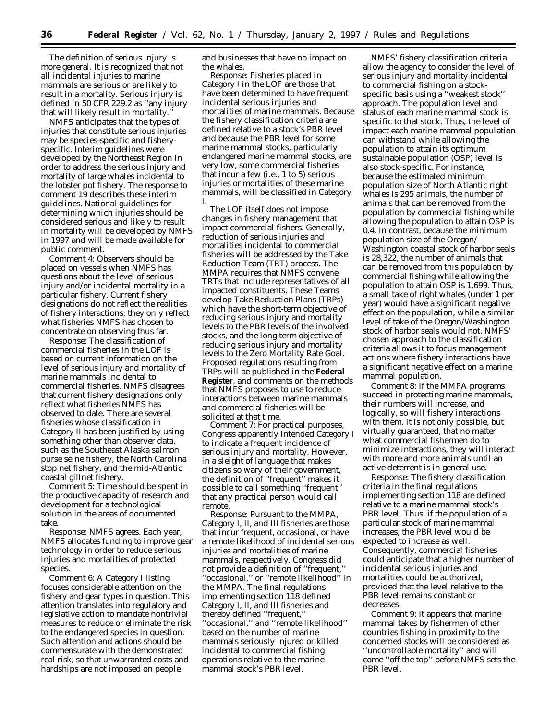The definition of serious injury is more general. It is recognized that not all incidental injuries to marine mammals are serious or are likely to result in a mortality. Serious injury is defined in 50 CFR 229.2 as ''any injury that will likely result in mortality.''

NMFS anticipates that the types of injuries that constitute serious injuries may be species-specific and fisheryspecific. Interim guidelines were developed by the Northeast Region in order to address the serious injury and mortality of large whales incidental to the lobster pot fishery. The response to comment 19 describes these interim guidelines. National guidelines for determining which injuries should be considered serious and likely to result in mortality will be developed by NMFS in 1997 and will be made available for public comment.

*Comment 4*: Observers should be placed on vessels when NMFS has questions about the level of serious injury and/or incidental mortality in a particular fishery. Current fishery designations do not reflect the realities of fishery interactions; they only reflect what fisheries NMFS has chosen to concentrate on observing thus far.

*Response*: The classification of commercial fisheries in the LOF is based on current information on the level of serious injury and mortality of marine mammals incidental to commercial fisheries. NMFS disagrees that current fishery designations only reflect what fisheries NMFS has observed to date. There are several fisheries whose classification in Category II has been justified by using something other than observer data, such as the Southeast Alaska salmon purse seine fishery, the North Carolina stop net fishery, and the mid-Atlantic coastal gillnet fishery.

*Comment 5*: Time should be spent in the productive capacity of research and development for a technological solution in the areas of documented take.

*Response*: NMFS agrees. Each year, NMFS allocates funding to improve gear technology in order to reduce serious injuries and mortalities of protected species.

*Comment 6*: A Category I listing focuses considerable attention on the fishery and gear types in question. This attention translates into regulatory and legislative action to mandate nontrivial measures to reduce or eliminate the risk to the endangered species in question. Such attention and actions should be commensurate with the demonstrated real risk, so that unwarranted costs and hardships are not imposed on people

and businesses that have no impact on the whales.

*Response*: Fisheries placed in Category I in the LOF are those that have been determined to have frequent incidental serious injuries and mortalities of marine mammals. Because the fishery classification criteria are defined relative to a stock's PBR level and because the PBR level for some marine mammal stocks, particularly endangered marine mammal stocks, are very low, some commercial fisheries that incur a few (i.e., 1 to 5) serious injuries or mortalities of these marine mammals, will be classified in Category I.

The LOF itself does not impose changes in fishery management that impact commercial fishers. Generally, reduction of serious injuries and mortalities incidental to commercial fisheries will be addressed by the Take Reduction Team (TRT) process. The MMPA requires that NMFS convene TRTs that include representatives of all impacted constituents. These Teams develop Take Reduction Plans (TRPs) which have the short-term objective of reducing serious injury and mortality levels to the PBR levels of the involved stocks, and the long-term objective of reducing serious injury and mortality levels to the Zero Mortality Rate Goal. Proposed regulations resulting from TRPs will be published in the **Federal Register**, and comments on the methods that NMFS proposes to use to reduce interactions between marine mammals and commercial fisheries will be solicited at that time.

*Comment 7*: For practical purposes, Congress apparently intended Category I to indicate a frequent incidence of serious injury and mortality. However, in a sleight of language that makes citizens so wary of their government, the definition of ''frequent'' makes it possible to call something ''frequent'' that any practical person would call remote.

*Response*: Pursuant to the MMPA, Category I, II, and III fisheries are those that incur frequent, occasional, or have a remote likelihood of incidental serious injuries and mortalities of marine mammals, respectively. Congress did not provide a definition of ''frequent,'' ''occasional,'' or ''remote likelihood'' in the MMPA. The final regulations implementing section 118 defined Category I, II, and III fisheries and thereby defined ''frequent,'' ''occasional,'' and ''remote likelihood'' based on the number of marine mammals seriously injured or killed incidental to commercial fishing operations relative to the marine mammal stock's PBR level.

NMFS' fishery classification criteria allow the agency to consider the level of serious injury and mortality incidental to commercial fishing on a stockspecific basis using a ''weakest stock'' approach. The population level and status of each marine mammal stock is specific to that stock. Thus, the level of impact each marine mammal population can withstand while allowing the population to attain its optimum sustainable population (OSP) level is also stock-specific. For instance, because the estimated minimum population size of North Atlantic right whales is 295 animals, the number of animals that can be removed from the population by commercial fishing while allowing the population to attain OSP is 0.4. In contrast, because the minimum population size of the Oregon/ Washington coastal stock of harbor seals is 28,322, the number of animals that can be removed from this population by commercial fishing while allowing the population to attain OSP is 1,699. Thus, a small take of right whales (under 1 per year) would have a significant negative effect on the population, while a similar level of take of the Oregon/Washington stock of harbor seals would not. NMFS' chosen approach to the classification criteria allows it to focus management actions where fishery interactions have a significant negative effect on a marine mammal population.

*Comment 8*: If the MMPA programs succeed in protecting marine mammals, their numbers will increase, and logically, so will fishery interactions with them. It is not only possible, but virtually guaranteed, that no matter what commercial fishermen do to minimize interactions, they will interact with more and more animals until an active deterrent is in general use.

*Response*: The fishery classification criteria in the final regulations implementing section 118 are defined relative to a marine mammal stock's PBR level. Thus, if the population of a particular stock of marine mammal increases, the PBR level would be expected to increase as well. Consequently, commercial fisheries could anticipate that a higher number of incidental serious injuries and mortalities could be authorized, provided that the level relative to the PBR level remains constant or decreases.

*Comment 9:* It appears that marine mammal takes by fishermen of other countries fishing in proximity to the concerned stocks will be considered as ''uncontrollable mortality'' and will come ''off the top'' before NMFS sets the PBR level.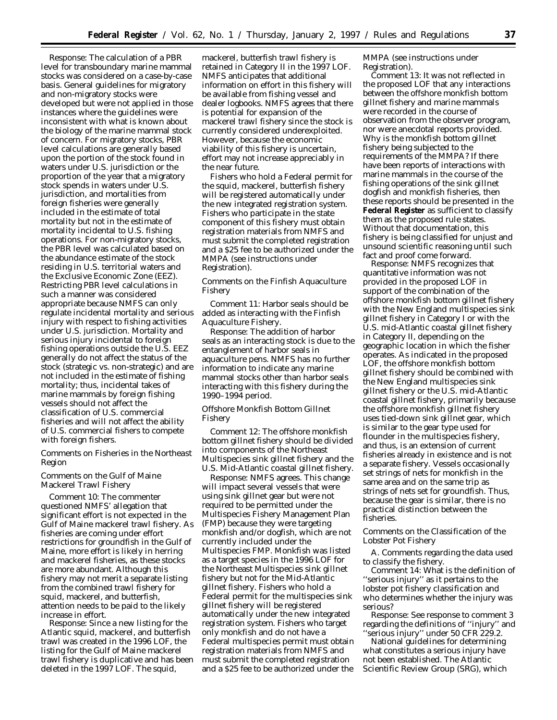*Response:* The calculation of a PBR level for transboundary marine mammal stocks was considered on a case-by-case basis. General guidelines for migratory and non-migratory stocks were developed but were not applied in those instances where the guidelines were inconsistent with what is known about the biology of the marine mammal stock of concern. For migratory stocks, PBR level calculations are generally based upon the portion of the stock found in waters under U.S. jurisdiction or the proportion of the year that a migratory stock spends in waters under U.S. jurisdiction, and mortalities from foreign fisheries were generally included in the estimate of total mortality but not in the estimate of mortality incidental to U.S. fishing operations. For non-migratory stocks, the PBR level was calculated based on the abundance estimate of the stock residing in U.S. territorial waters and the Exclusive Economic Zone (EEZ). Restricting PBR level calculations in such a manner was considered appropriate because NMFS can only regulate incidental mortality and serious injury with respect to fishing activities under U.S. jurisdiction. Mortality and serious injury incidental to foreign fishing operations outside the U.S. EEZ generally do not affect the status of the stock (strategic vs. non-strategic) and are not included in the estimate of fishing mortality; thus, incidental takes of marine mammals by foreign fishing vessels should not affect the classification of U.S. commercial fisheries and will not affect the ability of U.S. commercial fishers to compete with foreign fishers.

# *Comments on Fisheries in the Northeast Region*

# Comments on the Gulf of Maine Mackerel Trawl Fishery

*Comment 10:* The commenter questioned NMFS' allegation that significant effort is not expected in the Gulf of Maine mackerel trawl fishery. As fisheries are coming under effort restrictions for groundfish in the Gulf of Maine, more effort is likely in herring and mackerel fisheries, as these stocks are more abundant. Although this fishery may not merit a separate listing from the combined trawl fishery for squid, mackerel, and butterfish, attention needs to be paid to the likely increase in effort.

*Response:* Since a new listing for the Atlantic squid, mackerel, and butterfish trawl was created in the 1996 LOF, the listing for the Gulf of Maine mackerel trawl fishery is duplicative and has been deleted in the 1997 LOF. The squid,

mackerel, butterfish trawl fishery is retained in Category II in the 1997 LOF. NMFS anticipates that additional information on effort in this fishery will be available from fishing vessel and dealer logbooks. NMFS agrees that there is potential for expansion of the mackerel trawl fishery since the stock is currently considered underexploited. However, because the economic viability of this fishery is uncertain, effort may not increase appreciably in the near future.

Fishers who hold a Federal permit for the squid, mackerel, butterfish fishery will be registered automatically under the new integrated registration system. Fishers who participate in the state component of this fishery must obtain registration materials from NMFS and must submit the completed registration and a \$25 fee to be authorized under the MMPA (see instructions under Registration).

Comments on the Finfish Aquaculture Fishery

*Comment 11:* Harbor seals should be added as interacting with the Finfish Aquaculture Fishery.

*Response:* The addition of harbor seals as an interacting stock is due to the entanglement of harbor seals in aquaculture pens. NMFS has no further information to indicate any marine mammal stocks other than harbor seals interacting with this fishery during the 1990–1994 period.

## Offshore Monkfish Bottom Gillnet Fishery

*Comment 12:* The offshore monkfish bottom gillnet fishery should be divided into components of the Northeast Multispecies sink gillnet fishery and the U.S. Mid-Atlantic coastal gillnet fishery.

*Response:* NMFS agrees. This change will impact several vessels that were using sink gillnet gear but were not required to be permitted under the Multispecies Fishery Management Plan (FMP) because they were targeting monkfish and/or dogfish, which are not currently included under the Multispecies FMP. Monkfish was listed as a target species in the 1996 LOF for the Northeast Multispecies sink gillnet fishery but not for the Mid-Atlantic gillnet fishery. Fishers who hold a Federal permit for the multispecies sink gillnet fishery will be registered automatically under the new integrated registration system. Fishers who target only monkfish and do not have a Federal multispecies permit must obtain registration materials from NMFS and must submit the completed registration and a \$25 fee to be authorized under the

MMPA (see instructions under Registration).

*Comment 13:* It was not reflected in the proposed LOF that any interactions between the offshore monkfish bottom gillnet fishery and marine mammals were recorded in the course of observation from the observer program, nor were anecdotal reports provided. Why is the monkfish bottom gillnet fishery being subjected to the requirements of the MMPA? If there have been reports of interactions with marine mammals in the course of the fishing operations of the sink gillnet dogfish and monkfish fisheries, then these reports should be presented in the **Federal Register** as sufficient to classify them as the proposed rule states. Without that documentation, this fishery is being classified for unjust and unsound scientific reasoning until such fact and proof come forward.

*Response:* NMFS recognizes that quantitative information was not provided in the proposed LOF in support of the combination of the offshore monkfish bottom gillnet fishery with the New England multispecies sink gillnet fishery in Category I or with the U.S. mid-Atlantic coastal gillnet fishery in Category II, depending on the geographic location in which the fisher operates. As indicated in the proposed LOF, the offshore monkfish bottom gillnet fishery should be combined with the New England multispecies sink gillnet fishery or the U.S. mid-Atlantic coastal gillnet fishery, primarily because the offshore monkfish gillnet fishery uses tied-down sink gillnet gear, which is similar to the gear type used for flounder in the multispecies fishery, and thus, is an extension of current fisheries already in existence and is not a separate fishery. Vessels occasionally set strings of nets for monkfish in the same area and on the same trip as strings of nets set for groundfish. Thus, because the gear is similar, there is no practical distinction between the fisheries.

Comments on the Classification of the Lobster Pot Fishery

*A. Comments regarding the data used to classify the fishery.*

*Comment 14:* What is the definition of ''serious injury'' as it pertains to the lobster pot fishery classification and who determines whether the injury was serious?

*Response:* See response to comment 3 regarding the definitions of ''injury'' and ''serious injury'' under 50 CFR 229.2.

National guidelines for determining what constitutes a serious injury have not been established. The Atlantic Scientific Review Group (SRG), which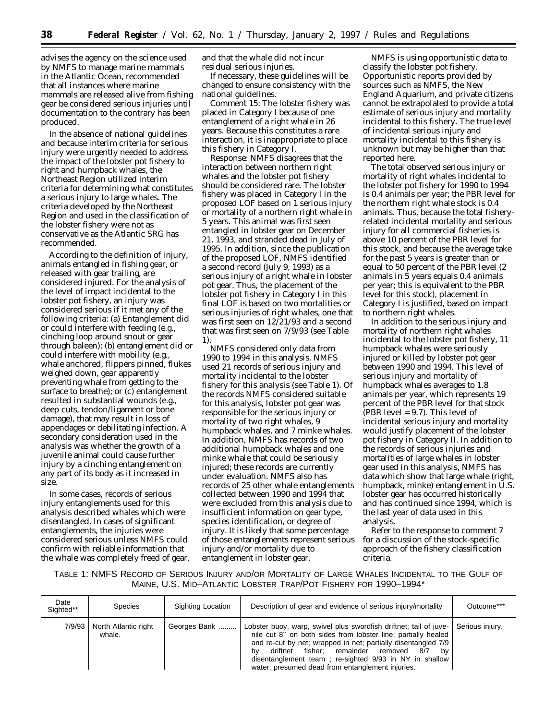advises the agency on the science used by NMFS to manage marine mammals in the Atlantic Ocean, recommended that all instances where marine mammals are released alive from fishing gear be considered serious injuries until documentation to the contrary has been produced.

In the absence of national guidelines and because interim criteria for serious injury were urgently needed to address the impact of the lobster pot fishery to right and humpback whales, the Northeast Region utilized interim criteria for determining what constitutes a serious injury to large whales. The criteria developed by the Northeast Region and used in the classification of the lobster fishery were not as conservative as the Atlantic SRG has recommended.

According to the definition of injury, animals entangled in fishing gear, or released with gear trailing, are considered injured. For the analysis of the level of impact incidental to the lobster pot fishery, an injury was considered serious if it met any of the following criteria: (a) Entanglement did or could interfere with feeding (e.g., cinching loop around snout or gear through baleen); (b) entanglement did or could interfere with mobility (e.g., whale anchored, flippers pinned, flukes weighed down, gear apparently preventing whale from getting to the surface to breathe); or (c) entanglement resulted in substantial wounds (e.g., deep cuts, tendon/ligament or bone damage), that may result in loss of appendages or debilitating infection. A secondary consideration used in the analysis was whether the growth of a juvenile animal could cause further injury by a cinching entanglement on any part of its body as it increased in size.

In some cases, records of serious injury entanglements used for this analysis described whales which were disentangled. In cases of significant entanglements, the injuries were considered serious unless NMFS could confirm with reliable information that the whale was completely freed of gear, and that the whale did not incur residual serious injuries.

If necessary, these guidelines will be changed to ensure consistency with the national guidelines.

*Comment 15:* The lobster fishery was placed in Category I because of one entanglement of a right whale in 26 years. Because this constitutes a rare interaction, it is inappropriate to place this fishery in Category I.

*Response:* NMFS disagrees that the interaction between northern right whales and the lobster pot fishery should be considered rare. The lobster fishery was placed in Category I in the proposed LOF based on 1 serious injury or mortality of a northern right whale in 5 years. This animal was first seen entangled in lobster gear on December 21, 1993, and stranded dead in July of 1995. In addition, since the publication of the proposed LOF, NMFS identified a second record (July 9, 1993) as a serious injury of a right whale in lobster pot gear. Thus, the placement of the lobster pot fishery in Category I in this final LOF is based on two mortalities or serious injuries of right whales, one that was first seen on 12/21/93 and a second that was first seen on 7/9/93 (see Table 1).

NMFS considered only data from 1990 to 1994 in this analysis. NMFS used 21 records of serious injury and mortality incidental to the lobster fishery for this analysis (see Table 1). Of the records NMFS considered suitable for this analysis, lobster pot gear was responsible for the serious injury or mortality of two right whales, 9 humpback whales, and 7 minke whales. In addition, NMFS has records of two additional humpback whales and one minke whale that could be seriously injured; these records are currently under evaluation. NMFS also has records of 25 other whale entanglements collected between 1990 and 1994 that were excluded from this analysis due to insufficient information on gear type, species identification, or degree of injury. It is likely that some percentage of those entanglements represent serious injury and/or mortality due to entanglement in lobster gear.

NMFS is using opportunistic data to classify the lobster pot fishery. Opportunistic reports provided by sources such as NMFS, the New England Aquarium, and private citizens cannot be extrapolated to provide a total estimate of serious injury and mortality incidental to this fishery. The true level of incidental serious injury and mortality incidental to this fishery is unknown but may be higher than that reported here.

The total observed serious injury or mortality of right whales incidental to the lobster pot fishery for 1990 to 1994 is 0.4 animals per year; the PBR level for the northern right whale stock is 0.4 animals. Thus, because the total fisheryrelated incidental mortality and serious injury for all commercial fisheries is above 10 percent of the PBR level for this stock, and because the average take for the past 5 years is greater than or equal to 50 percent of the PBR level (2 animals in 5 years equals 0.4 animals per year; this is equivalent to the PBR level for this stock), placement in Category I is justified, based on impact to northern right whales.

In addition to the serious injury and mortality of northern right whales incidental to the lobster pot fishery, 11 humpback whales were seriously injured or killed by lobster pot gear between 1990 and 1994. This level of serious injury and mortality of humpback whales averages to 1.8 animals per year, which represents 19 percent of the PBR level for that stock (PBR level = 9.7). This level of incidental serious injury and mortality would justify placement of the lobster pot fishery in Category II. In addition to the records of serious injuries and mortalities of large whales in lobster gear used in this analysis, NMFS has data which show that large whale (right, humpback, minke) entanglement in U.S. lobster gear has occurred historically and has continued since 1994, which is the last year of data used in this analysis.

Refer to the response to comment 7 for a discussion of the stock-specific approach of the fishery classification criteria.

TABLE 1: NMFS RECORD OF SERIOUS INJURY AND/OR MORTALITY OF LARGE WHALES INCIDENTAL TO THE GULF OF MAINE, U.S. MID–ATLANTIC LOBSTER TRAP/POT FISHERY FOR 1990–1994\*

| Date<br>Sighted** | <b>Species</b>                 | Sighting Location | Description of gear and evidence of serious injury/mortality                                                                                                                                                                                                                                                                                                                | Outcome***      |
|-------------------|--------------------------------|-------------------|-----------------------------------------------------------------------------------------------------------------------------------------------------------------------------------------------------------------------------------------------------------------------------------------------------------------------------------------------------------------------------|-----------------|
| 7/9/93            | North Atlantic right<br>whale. | Georges Bank      | Lobster buoy, warp, swivel plus swordfish driftnet; tail of juve-<br>nile cut 8" on both sides from lobster line; partially healed<br>and re-cut by net; wrapped in net; partially disentangled 7/9<br>driftnet fisher; remainder removed<br>8/7<br>bv<br>bv<br>disentanglement team ; re-sighted 9/93 in NY in shallow<br>water; presumed dead from entanglement injuries. | Serious injury. |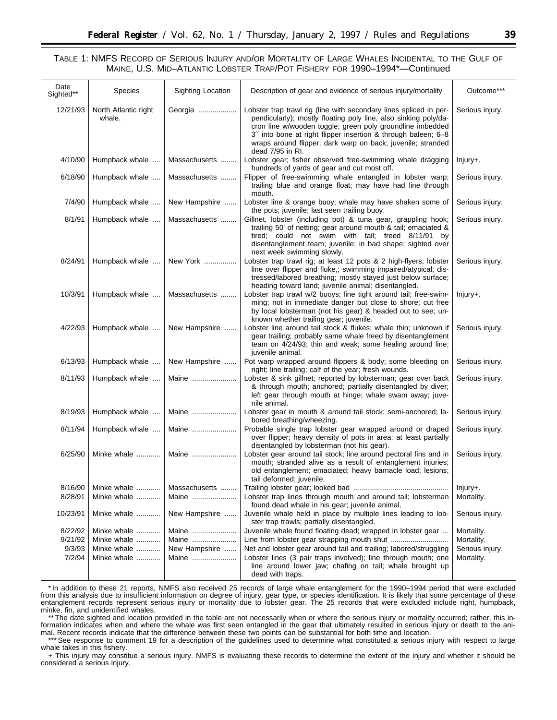# TABLE 1: NMFS RECORD OF SERIOUS INJURY AND/OR MORTALITY OF LARGE WHALES INCIDENTAL TO THE GULF OF MAINE, U.S. MID–ATLANTIC LOBSTER TRAP/POT FISHERY FOR 1990–1994\*—Continued

| Date<br>Sighted** | <b>Species</b>                 | Sighting Location | Description of gear and evidence of serious injury/mortality                                                                                                                                                                                                                                                                                          | Outcome***      |
|-------------------|--------------------------------|-------------------|-------------------------------------------------------------------------------------------------------------------------------------------------------------------------------------------------------------------------------------------------------------------------------------------------------------------------------------------------------|-----------------|
| 12/21/93          | North Atlantic right<br>whale. | Georgia           | Lobster trap trawl rig (line with secondary lines spliced in per-<br>pendicularly); mostly floating poly line, also sinking poly/da-<br>cron line w/wooden toggle; green poly groundline imbedded<br>3" into bone at right flipper insertion & through baleen; 6-8<br>wraps around flipper; dark warp on back; juvenile; stranded<br>dead 7/95 in RI. | Serious injury. |
| 4/10/90           | Humpback whale                 | Massachusetts     | Lobster gear; fisher observed free-swimming whale dragging<br>hundreds of yards of gear and cut most off.                                                                                                                                                                                                                                             | lnjury+.        |
| 6/18/90           | Humpback whale                 | Massachusetts     | Flipper of free-swimming whale entangled in lobster warp;<br>trailing blue and orange float; may have had line through<br>mouth.                                                                                                                                                                                                                      | Serious injury. |
| 7/4/90            | Humpback whale                 | New Hampshire     | Lobster line & orange buoy; whale may have shaken some of<br>the pots; juvenile; last seen trailing buoy.                                                                                                                                                                                                                                             | Serious injury. |
| 8/1/91            | Humpback whale                 | Massachusetts     | Gillnet, lobster (including pot) & tuna gear, grappling hook;<br>trailing 50' of netting; gear around mouth & tail; emaciated &<br>tired; could not swim with tail; freed 8/11/91 by<br>disentanglement team; juvenile; in bad shape; sighted over<br>next week swimming slowly.                                                                      | Serious injury. |
| 8/24/91           | Humpback whale                 | New York          | Lobster trap trawl rig; at least 12 pots & 2 high-flyers; lobster<br>line over flipper and fluke,; swimming impaired/atypical; dis-<br>tressed/labored breathing; mostly stayed just below surface;<br>heading toward land; juvenile animal; disentangled.                                                                                            | Serious injury. |
| 10/3/91           | Humpback whale                 | Massachusetts     | Lobster trap trawl w/2 buoys; line tight around tail; free-swim-<br>ming; not in immediate danger but close to shore; cut free<br>by local lobsterman (not his gear) & headed out to see; un-<br>known whether trailing gear; juvenile.                                                                                                               | $Injury+$ .     |
| 4/22/93           | Humpback whale                 | New Hampshire     | Lobster line around tail stock & flukes; whale thin; unknown if<br>gear trailing; probably same whale freed by disentanglement<br>team on 4/24/93; thin and weak; some healing around line;<br>juvenile animal.                                                                                                                                       | Serious injury. |
| 6/13/93           | Humpback whale                 | New Hampshire     | Pot warp wrapped around flippers & body; some bleeding on<br>right; line trailing; calf of the year; fresh wounds.                                                                                                                                                                                                                                    | Serious injury. |
| 8/11/93           | Humpback whale                 | Maine             | Lobster & sink gillnet; reported by lobsterman; gear over back<br>& through mouth; anchored; partially disentangled by diver;<br>left gear through mouth at hinge; whale swam away; juve-<br>nile animal.                                                                                                                                             | Serious injury. |
| 8/19/93           | Humpback whale                 | Maine             | Lobster gear in mouth & around tail stock; semi-anchored; la-<br>bored breathing/wheezing.                                                                                                                                                                                                                                                            | Serious injury. |
| 8/11/94           | Humpback whale                 | Maine             | Probable single trap lobster gear wrapped around or draped<br>over flipper; heavy density of pots in area; at least partially<br>disentangled by lobsterman (not his gear).                                                                                                                                                                           | Serious injury. |
| 6/25/90           | Minke whale                    | Maine             | Lobster gear around tail stock; line around pectoral fins and in<br>mouth; stranded alive as a result of entanglement injuries;<br>old entanglement; emaciated; heavy barnacle load; lesions;<br>tail deformed; juvenile.                                                                                                                             | Serious injury. |
| 8/16/90           | Minke whale                    | Massachusetts     |                                                                                                                                                                                                                                                                                                                                                       | lnjury+.        |
| 8/28/91           | Minke whale                    | Maine             | Lobster trap lines through mouth and around tail; lobsterman<br>found dead whale in his gear; juvenile animal.                                                                                                                                                                                                                                        | Mortality.      |
| 10/23/91          | Minke whale                    | New Hampshire     | Juvenile whale held in place by multiple lines leading to lob-<br>ster trap trawls; partially disentangled.                                                                                                                                                                                                                                           | Serious injury. |
| 8/22/92           | Minke whale                    | Maine             | Juvenile whale found floating dead; wrapped in lobster gear                                                                                                                                                                                                                                                                                           | Mortality.      |
| 9/21/92           | Minke whale                    | Maine             |                                                                                                                                                                                                                                                                                                                                                       | Mortality.      |
| 9/3/93            | Minke whale                    | New Hampshire     | Net and lobster gear around tail and trailing; labored/struggling                                                                                                                                                                                                                                                                                     | Serious injury. |
| 7/2/94            | Minke whale                    | Maine             | Lobster lines (3 pair traps involved); line through mouth; one<br>line around lower jaw; chafing on tail; whale brought up<br>dead with traps.                                                                                                                                                                                                        | Mortality.      |

\*In addition to these 21 reports, NMFS also received 25 records of large whale entanglement for the 1990–1994 period that were excluded from this analysis due to insufficient information on degree of injury, gear type, or species identification. It is likely that some percentage of these entanglement records represent serious injury or mortality due to lobster gear. The 25 records that were excluded include right, humpback, minke, fin, and unidentified whales.

\*\*\* The date sighted and location provided in the table are not necessarily when or where the serious injury or mortality occurred; rather, this information indicates when and where the whale was first seen entangled in the gear that ultimately resulted in serious injury or death to the animal. Recent records indicate that the difference between these two points can be substantial for both time and location.

\*\*\*See response to comment 19 for a description of the guidelines used to determine what constituted a serious injury with respect to large whale takes in this fishery.

+ This injury may constitue a serious injury. NMFS is evaluating these records to determine the extent of the injury and whether it should be considered a serious injury.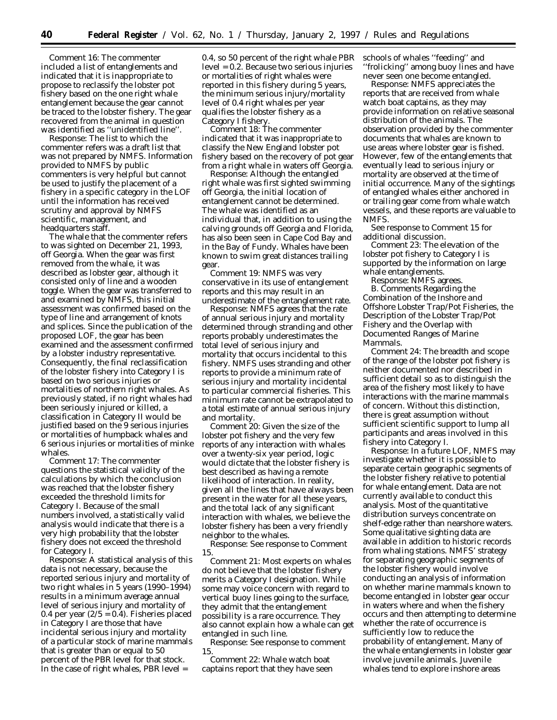*Comment 16:* The commenter included a list of entanglements and indicated that it is inappropriate to propose to reclassify the lobster pot fishery based on the one right whale entanglement because the gear cannot be traced to the lobster fishery. The gear recovered from the animal in question was identified as ''unidentified line''.

*Response:* The list to which the commenter refers was a draft list that was not prepared by NMFS. Information provided to NMFS by public commenters is very helpful but cannot be used to justify the placement of a fishery in a specific category in the LOF until the information has received scrutiny and approval by NMFS scientific, management, and headquarters staff.

The whale that the commenter refers to was sighted on December 21, 1993, off Georgia. When the gear was first removed from the whale, it was described as lobster gear, although it consisted only of line and a wooden toggle. When the gear was transferred to and examined by NMFS, this initial assessment was confirmed based on the type of line and arrangement of knots and splices. Since the publication of the proposed LOF, the gear has been examined and the assessment confirmed by a lobster industry representative. Consequently, the final reclassification of the lobster fishery into Category I is based on two serious injuries or mortalities of northern right whales. As previously stated, if no right whales had been seriously injured or killed, a classification in Category II would be justified based on the 9 serious injuries or mortalities of humpback whales and 6 serious injuries or mortalities of minke whales.

*Comment 17:* The commenter questions the statistical validity of the calculations by which the conclusion was reached that the lobster fishery exceeded the threshold limits for Category I. Because of the small numbers involved, a statistically valid analysis would indicate that there is a very high probability that the lobster fishery does not exceed the threshold for Category I.

*Response:* A statistical analysis of this data is not necessary, because the reported serious injury and mortality of two right whales in 5 years (1990–1994) results in a minimum average annual level of serious injury and mortality of 0.4 per year  $(2/5 = 0.4)$ . Fisheries placed in Category I are those that have incidental serious injury and mortality of a particular stock of marine mammals that is greater than or equal to 50 percent of the PBR level for that stock. In the case of right whales, PBR level =

0.4, so 50 percent of the right whale PBR level = 0.2. Because two serious injuries or mortalities of right whales were reported in this fishery during 5 years, the minimum serious injury/mortality level of 0.4 right whales per year qualifies the lobster fishery as a Category I fishery.

*Comment 18:* The commenter indicated that it was inappropriate to classify the New England lobster pot fishery based on the recovery of pot gear from a right whale in waters off Georgia.

*Response:* Although the entangled right whale was first sighted swimming off Georgia, the initial location of entanglement cannot be determined. The whale was identified as an individual that, in addition to using the calving grounds off Georgia and Florida, has also been seen in Cape Cod Bay and in the Bay of Fundy. Whales have been known to swim great distances trailing gear.

*Comment 19:* NMFS was very conservative in its use of entanglement reports and this may result in an underestimate of the entanglement rate.

*Response:* NMFS agrees that the rate of annual serious injury and mortality determined through stranding and other reports probably underestimates the total level of serious injury and mortality that occurs incidental to this fishery. NMFS uses stranding and other reports to provide a minimum rate of serious injury and mortality incidental to particular commercial fisheries. This minimum rate cannot be extrapolated to a total estimate of annual serious injury and mortality.

*Comment 20:* Given the size of the lobster pot fishery and the very few reports of any interaction with whales over a twenty-six year period, logic would dictate that the lobster fishery is best described as having a remote likelihood of interaction. In reality, given all the lines that have always been present in the water for all these years, and the total lack of any significant interaction with whales, we believe the lobster fishery has been a very friendly neighbor to the whales.

*Response:* See response to Comment 15.

*Comment 21:* Most experts on whales do not believe that the lobster fishery merits a Category I designation. While some may voice concern with regard to vertical buoy lines going to the surface, they admit that the entanglement possibility is a rare occurrence. They also cannot explain how a whale can get entangled in such line.

*Response:* See response to comment 15.

*Comment 22:* Whale watch boat captains report that they have seen schools of whales ''feeding'' and ''frolicking'' among buoy lines and have never seen one become entangled.

*Response:* NMFS appreciates the reports that are received from whale watch boat captains, as they may provide information on relative seasonal distribution of the animals. The observation provided by the commenter documents that whales are known to use areas where lobster gear is fished. However, few of the entanglements that eventually lead to serious injury or mortality are observed at the time of initial occurrence. Many of the sightings of entangled whales either anchored in or trailing gear come from whale watch vessels, and these reports are valuable to NMFS.

See response to Comment 15 for additional discussion.

*Comment 23:* The elevation of the lobster pot fishery to Category I is supported by the information on large whale entanglements.

*Response:* NMFS agrees.

*B. Comments Regarding the Combination of the Inshore and Offshore Lobster Trap/Pot Fisheries, the Description of the Lobster Trap/Pot Fishery and the Overlap with Documented Ranges of Marine Mammals.*

*Comment 24:* The breadth and scope of the range of the lobster pot fishery is neither documented nor described in sufficient detail so as to distinguish the area of the fishery most likely to have interactions with the marine mammals of concern. Without this distinction, there is great assumption without sufficient scientific support to lump all participants and areas involved in this fishery into Category I.

*Response:* In a future LOF, NMFS may investigate whether it is possible to separate certain geographic segments of the lobster fishery relative to potential for whale entanglement. Data are not currently available to conduct this analysis. Most of the quantitative distribution surveys concentrate on shelf-edge rather than nearshore waters. Some qualitative sighting data are available in addition to historic records from whaling stations. NMFS' strategy for separating geographic segments of the lobster fishery would involve conducting an analysis of information on whether marine mammals known to become entangled in lobster gear occur in waters where and when the fishery occurs and then attempting to determine whether the rate of occurrence is sufficiently low to reduce the probability of entanglement. Many of the whale entanglements in lobster gear involve juvenile animals. Juvenile whales tend to explore inshore areas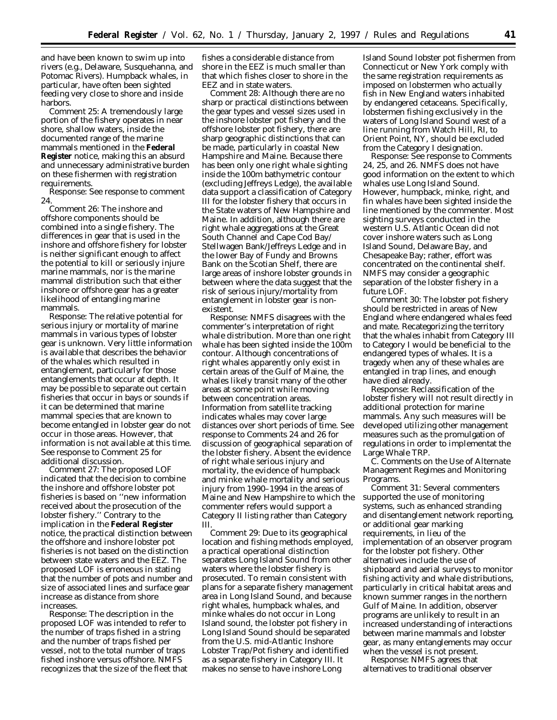and have been known to swim up into rivers (e.g., Delaware, Susquehanna, and Potomac Rivers). Humpback whales, in particular, have often been sighted feeding very close to shore and inside harbors.

*Comment 25:* A tremendously large portion of the fishery operates in near shore, shallow waters, inside the documented range of the marine mammals mentioned in the **Federal Register** notice, making this an absurd and unnecessary administrative burden on these fishermen with registration requirements.

*Response:* See response to comment 24.

*Comment 26:* The inshore and offshore components should be combined into a single fishery. The differences in gear that is used in the inshore and offshore fishery for lobster is neither significant enough to affect the potential to kill or seriously injure marine mammals, nor is the marine mammal distribution such that either inshore or offshore gear has a greater likelihood of entangling marine mammals.

*Response:* The relative potential for serious injury or mortality of marine mammals in various types of lobster gear is unknown. Very little information is available that describes the behavior of the whales which resulted in entanglement, particularly for those entanglements that occur at depth. It may be possible to separate out certain fisheries that occur in bays or sounds if it can be determined that marine mammal species that are known to become entangled in lobster gear do not occur in those areas. However, that information is not available at this time. See response to Comment 25 for additional discussion.

*Comment 27:* The proposed LOF indicated that the decision to combine the inshore and offshore lobster pot fisheries is based on ''new information received about the prosecution of the lobster fishery.'' Contrary to the implication in the **Federal Register** notice, the practical distinction between the offshore and inshore lobster pot fisheries is not based on the distinction between state waters and the EEZ. The proposed LOF is erroneous in stating that the number of pots and number and size of associated lines and surface gear increase as distance from shore increases.

*Response:* The description in the proposed LOF was intended to refer to the number of traps fished in a string and the number of traps fished per vessel, not to the total number of traps fished inshore versus offshore. NMFS recognizes that the size of the fleet that

fishes a considerable distance from shore in the EEZ is much smaller than that which fishes closer to shore in the EEZ and in state waters.

*Comment 28:* Although there are no sharp or practical distinctions between the gear types and vessel sizes used in the inshore lobster pot fishery and the offshore lobster pot fishery, there are sharp geographic distinctions that can be made, particularly in coastal New Hampshire and Maine. Because there has been only one right whale sighting inside the 100m bathymetric contour (excluding Jeffreys Ledge), the available data support a classification of Category III for the lobster fishery that occurs in the State waters of New Hampshire and Maine. In addition, although there are right whale aggregations at the Great South Channel and Cape Cod Bay/ Stellwagen Bank/Jeffreys Ledge and in the lower Bay of Fundy and Browns Bank on the Scotian Shelf, there are large areas of inshore lobster grounds in between where the data suggest that the risk of serious injury/mortality from entanglement in lobster gear is nonexistent.

*Response:* NMFS disagrees with the commenter's interpretation of right whale distribution. More than one right whale has been sighted inside the 100m contour. Although concentrations of right whales apparently only exist in certain areas of the Gulf of Maine, the whales likely transit many of the other areas at some point while moving between concentration areas. Information from satellite tracking indicates whales may cover large distances over short periods of time. See response to Comments 24 and 26 for discussion of geographical separation of the lobster fishery. Absent the evidence of right whale serious injury and mortality, the evidence of humpback and minke whale mortality and serious injury from 1990–1994 in the areas of Maine and New Hampshire to which the commenter refers would support a Category II listing rather than Category III.

*Comment 29:* Due to its geographical location and fishing methods employed, a practical operational distinction separates Long Island Sound from other waters where the lobster fishery is prosecuted. To remain consistent with plans for a separate fishery management area in Long Island Sound, and because right whales, humpback whales, and minke whales do not occur in Long Island sound, the lobster pot fishery in Long Island Sound should be separated from the U.S. mid-Atlantic Inshore Lobster Trap/Pot fishery and identified as a separate fishery in Category III. It makes no sense to have inshore Long

Island Sound lobster pot fishermen from Connecticut or New York comply with the same registration requirements as imposed on lobstermen who actually fish in New England waters inhabited by endangered cetaceans. Specifically, lobstermen fishing exclusively in the waters of Long Island Sound west of a line running from Watch Hill, RI, to Orient Point, NY, should be excluded from the Category I designation.

*Response:* See response to Comments 24, 25, and 26. NMFS does not have good information on the extent to which whales use Long Island Sound. However, humpback, minke, right, and fin whales have been sighted inside the line mentioned by the commenter. Most sighting surveys conducted in the western U.S. Atlantic Ocean did not cover inshore waters such as Long Island Sound, Delaware Bay, and Chesapeake Bay; rather, effort was concentrated on the continental shelf. NMFS may consider a geographic separation of the lobster fishery in a future LOF.

*Comment 30:* The lobster pot fishery should be restricted in areas of New England where endangered whales feed and mate. Recategorizing the territory that the whales inhabit from Category III to Category I would be beneficial to the endangered types of whales. It is a tragedy when any of these whales are entangled in trap lines, and enough have died already.

*Response:* Reclassification of the lobster fishery will not result directly in additional protection for marine mammals. Any such measures will be developed utilizing other management measures such as the promulgation of regulations in order to implementat the Large Whale TRP.

## *C. Comments on the Use of Alternate Management Regimes and Monitoring Programs.*

*Comment 31:* Several commenters supported the use of monitoring systems, such as enhanced stranding and disentanglement network reporting, or additional gear marking requirements, in lieu of the implementation of an observer program for the lobster pot fishery. Other alternatives include the use of shipboard and aerial surveys to monitor fishing activity and whale distributions, particularly in critical habitat areas and known summer ranges in the northern Gulf of Maine. In addition, observer programs are unlikely to result in an increased understanding of interactions between marine mammals and lobster gear, as many entanglements may occur when the vessel is not present.

*Response:* NMFS agrees that alternatives to traditional observer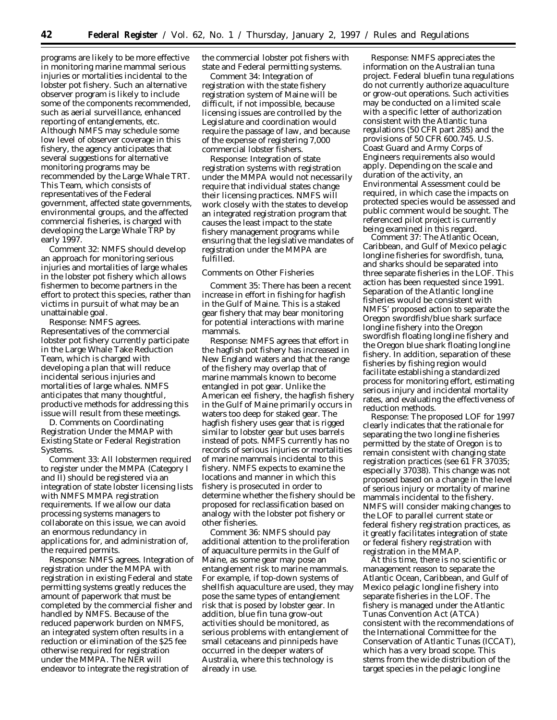programs are likely to be more effective in monitoring marine mammal serious injuries or mortalities incidental to the lobster pot fishery. Such an alternative observer program is likely to include some of the components recommended, such as aerial surveillance, enhanced reporting of entanglements, etc. Although NMFS may schedule some low level of observer coverage in this fishery, the agency anticipates that several suggestions for alternative monitoring programs may be recommended by the Large Whale TRT. This Team, which consists of representatives of the Federal government, affected state governments, environmental groups, and the affected commercial fisheries, is charged with developing the Large Whale TRP by early 1997.

*Comment 32:* NMFS should develop an approach for monitoring serious injuries and mortalities of large whales in the lobster pot fishery which allows fishermen to become partners in the effort to protect this species, rather than victims in pursuit of what may be an unattainable goal.

*Response:* NMFS agrees. Representatives of the commercial lobster pot fishery currently participate in the Large Whale Take Reduction Team, which is charged with developing a plan that will reduce incidental serious injuries and mortalities of large whales. NMFS anticipates that many thoughtful, productive methods for addressing this issue will result from these meetings.

*D. Comments on Coordinating Registration Under the MMAP with Existing State or Federal Registration Systems.*

*Comment 33:* All lobstermen required to register under the MMPA (Category I and II) should be registered via an integration of state lobster licensing lists with NMFS MMPA registration requirements. If we allow our data processing systems managers to collaborate on this issue, we can avoid an enormous redundancy in applications for, and administration of, the required permits.

*Response:* NMFS agrees. Integration of registration under the MMPA with registration in existing Federal and state permitting systems greatly reduces the amount of paperwork that must be completed by the commercial fisher and handled by NMFS. Because of the reduced paperwork burden on NMFS, an integrated system often results in a reduction or elimination of the \$25 fee otherwise required for registration under the MMPA. The NER will endeavor to integrate the registration of

the commercial lobster pot fishers with state and Federal permitting systems.

*Comment 34:* Integration of registration with the state fishery registration system of Maine will be difficult, if not impossible, because licensing issues are controlled by the Legislature and coordination would require the passage of law, and because of the expense of registering 7,000 commercial lobster fishers.

*Response:* Integration of state registration systems with registration under the MMPA would not necessarily require that individual states change their licensing practices. NMFS will work closely with the states to develop an integrated registration program that causes the least impact to the state fishery management programs while ensuring that the legislative mandates of registration under the MMPA are fulfilled.

### Comments on Other Fisheries

*Comment 35:* There has been a recent increase in effort in fishing for hagfish in the Gulf of Maine. This is a staked gear fishery that may bear monitoring for potential interactions with marine mammals.

*Response:* NMFS agrees that effort in the hagfish pot fishery has increased in New England waters and that the range of the fishery may overlap that of marine mammals known to become entangled in pot gear. Unlike the American eel fishery, the hagfish fishery in the Gulf of Maine primarily occurs in waters too deep for staked gear. The hagfish fishery uses gear that is rigged similar to lobster gear but uses barrels instead of pots. NMFS currently has no records of serious injuries or mortalities of marine mammals incidental to this fishery. NMFS expects to examine the locations and manner in which this fishery is prosecuted in order to determine whether the fishery should be proposed for reclassification based on analogy with the lobster pot fishery or other fisheries.

*Comment 36:* NMFS should pay additional attention to the proliferation of aquaculture permits in the Gulf of Maine, as some gear may pose an entanglement risk to marine mammals. For example, if top-down systems of shellfish aquaculture are used, they may pose the same types of entanglement risk that is posed by lobster gear. In addition, blue fin tuna grow-out activities should be monitored, as serious problems with entanglement of small cetaceans and pinnipeds have occurred in the deeper waters of Australia, where this technology is already in use.

*Response:* NMFS appreciates the information on the Australian tuna project. Federal bluefin tuna regulations do not currently authorize aquaculture or grow-out operations. Such activities may be conducted on a limited scale with a specific letter of authorization consistent with the Atlantic tuna regulations (50 CFR part 285) and the provisions of 50 CFR 600.745. U.S. Coast Guard and Army Corps of Engineers requirements also would apply. Depending on the scale and duration of the activity, an Environmental Assessment could be required, in which case the impacts on protected species would be assessed and public comment would be sought. The referenced pilot project is currently being examined in this regard.

*Comment 37:* The Atlantic Ocean, Caribbean, and Gulf of Mexico pelagic longline fisheries for swordfish, tuna, and sharks should be separated into three separate fisheries in the LOF. This action has been requested since 1991. Separation of the Atlantic longline fisheries would be consistent with NMFS' proposed action to separate the Oregon swordfish/blue shark surface longline fishery into the Oregon swordfish floating longline fishery and the Oregon blue shark floating longline fishery. In addition, separation of these fisheries by fishing region would facilitate establishing a standardized process for monitoring effort, estimating serious injury and incidental mortality rates, and evaluating the effectiveness of reduction methods.

*Response:* The proposed LOF for 1997 clearly indicates that the rationale for separating the two longline fisheries permitted by the state of Oregon is to remain consistent with changing state registration practices (see 61 FR 37035; especially 37038). This change was not proposed based on a change in the level of serious injury or mortality of marine mammals incidental to the fishery. NMFS will consider making changes to the LOF to parallel current state or federal fishery registration practices, as it greatly facilitates integration of state or federal fishery registration with registration in the MMAP.

At this time, there is no scientific or management reason to separate the Atlantic Ocean, Caribbean, and Gulf of Mexico pelagic longline fishery into separate fisheries in the LOF. The fishery is managed under the Atlantic Tunas Convention Act (ATCA) consistent with the recommendations of the International Committee for the Conservation of Atlantic Tunas (ICCAT), which has a very broad scope. This stems from the wide distribution of the target species in the pelagic longline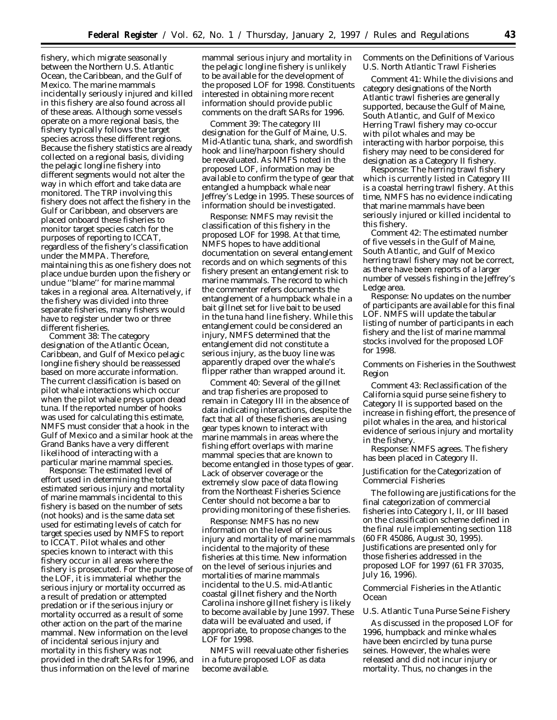fishery, which migrate seasonally between the Northern U.S. Atlantic Ocean, the Caribbean, and the Gulf of Mexico. The marine mammals incidentally seriously injured and killed in this fishery are also found across all of these areas. Although some vessels operate on a more regional basis, the fishery typically follows the target species across these different regions. Because the fishery statistics are already collected on a regional basis, dividing the pelagic longline fishery into different segments would not alter the way in which effort and take data are monitored. The TRP involving this fishery does not affect the fishery in the Gulf or Caribbean, and observers are placed onboard these fisheries to monitor target species catch for the purposes of reporting to ICCAT, regardless of the fishery's classification under the MMPA. Therefore, maintaining this as one fishery does not place undue burden upon the fishery or undue ''blame'' for marine mammal takes in a regional area. Alternatively, if the fishery was divided into three separate fisheries, many fishers would have to register under two or three different fisheries.

*Comment 38:* The category designation of the Atlantic Ocean, Caribbean, and Gulf of Mexico pelagic longline fishery should be reassessed based on more accurate information. The current classification is based on pilot whale interactions which occur when the pilot whale preys upon dead tuna. If the reported number of hooks was used for calculating this estimate, NMFS must consider that a hook in the Gulf of Mexico and a similar hook at the Grand Banks have a very different likelihood of interacting with a particular marine mammal species.

*Response:* The estimated level of effort used in determining the total estimated serious injury and mortality of marine mammals incidental to this fishery is based on the number of sets (not hooks) and is the same data set used for estimating levels of catch for target species used by NMFS to report to ICCAT. Pilot whales and other species known to interact with this fishery occur in all areas where the fishery is prosecuted. For the purpose of the LOF, it is immaterial whether the serious injury or mortality occurred as a result of predation or attempted predation or if the serious injury or mortality occurred as a result of some other action on the part of the marine mammal. New information on the level of incidental serious injury and mortality in this fishery was not provided in the draft SARs for 1996, and thus information on the level of marine

mammal serious injury and mortality in the pelagic longline fishery is unlikely to be available for the development of the proposed LOF for 1998. Constituents interested in obtaining more recent information should provide public comments on the draft SARs for 1996.

*Comment 39:* The category III designation for the Gulf of Maine, U.S. Mid-Atlantic tuna, shark, and swordfish hook and line/harpoon fishery should be reevaluated. As NMFS noted in the proposed LOF, information may be available to confirm the type of gear that entangled a humpback whale near Jeffrey's Ledge in 1995. These sources of information should be investigated.

*Response:* NMFS may revisit the classification of this fishery in the proposed LOF for 1998. At that time, NMFS hopes to have additional documentation on several entanglement records and on which segments of this fishery present an entanglement risk to marine mammals. The record to which the commenter refers documents the entanglement of a humpback whale in a bait gillnet set for live bait to be used in the tuna hand line fishery. While this entanglement could be considered an injury, NMFS determined that the entanglement did not constitute a serious injury, as the buoy line was apparently draped over the whale's flipper rather than wrapped around it.

*Comment 40:* Several of the gillnet and trap fisheries are proposed to remain in Category III in the absence of data indicating interactions, despite the fact that all of these fisheries are using gear types known to interact with marine mammals in areas where the fishing effort overlaps with marine mammal species that are known to become entangled in those types of gear. Lack of observer coverage or the extremely slow pace of data flowing from the Northeast Fisheries Science Center should not become a bar to providing monitoring of these fisheries.

*Response:* NMFS has no new information on the level of serious injury and mortality of marine mammals incidental to the majority of these fisheries at this time. New information on the level of serious injuries and mortalities of marine mammals incidental to the U.S. mid-Atlantic coastal gillnet fishery and the North Carolina inshore gillnet fishery is likely to become available by June 1997. These data will be evaluated and used, if appropriate, to propose changes to the LOF for 1998.

NMFS will reevaluate other fisheries in a future proposed LOF as data become available.

# *Comments on the Definitions of Various U.S. North Atlantic Trawl Fisheries*

*Comment 41:* While the divisions and category designations of the North Atlantic trawl fisheries are generally supported, because the Gulf of Maine, South Atlantic, and Gulf of Mexico Herring Trawl fishery may co-occur with pilot whales and may be interacting with harbor porpoise, this fishery may need to be considered for designation as a Category II fishery.

*Response:* The herring trawl fishery which is currently listed in Category III is a coastal herring trawl fishery. At this time, NMFS has no evidence indicating that marine mammals have been seriously injured or killed incidental to this fishery.

*Comment 42:* The estimated number of five vessels in the Gulf of Maine, South Atlantic, and Gulf of Mexico herring trawl fishery may not be correct, as there have been reports of a larger number of vessels fishing in the Jeffrey's Ledge area.

*Response:* No updates on the number of participants are available for this final LOF. NMFS will update the tabular listing of number of participants in each fishery and the list of marine mammal stocks involved for the proposed LOF for 1998.

# *Comments on Fisheries in the Southwest Region*

*Comment 43:* Reclassification of the California squid purse seine fishery to Category II is supported based on the increase in fishing effort, the presence of pilot whales in the area, and historical evidence of serious injury and mortality in the fishery.

*Response:* NMFS agrees. The fishery has been placed in Category II.

## Justification for the Categorization of Commercial Fisheries

The following are justifications for the final categorization of commercial fisheries into Category I, II, or III based on the classification scheme defined in the final rule implementing section 118 (60 FR 45086, August 30, 1995). Justifications are presented only for those fisheries addressed in the proposed LOF for 1997 (61 FR 37035, July 16, 1996).

# *Commercial Fisheries in the Atlantic Ocean*

## U.S. Atlantic Tuna Purse Seine Fishery

As discussed in the proposed LOF for 1996, humpback and minke whales have been encircled by tuna purse seines. However, the whales were released and did not incur injury or mortality. Thus, no changes in the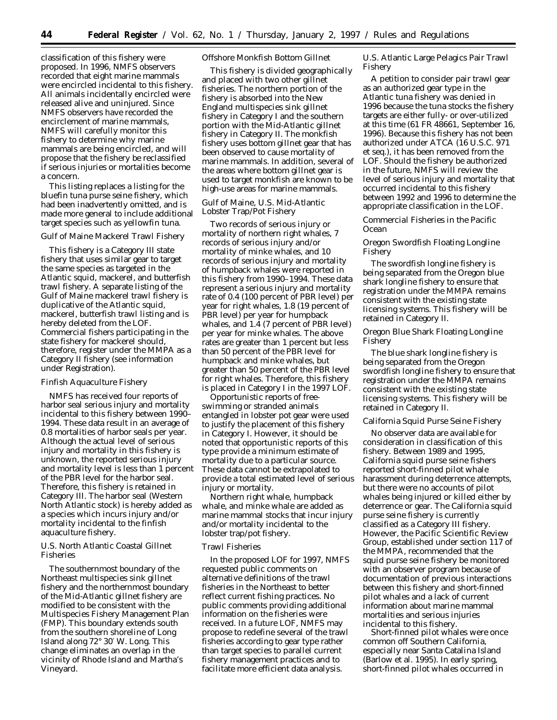classification of this fishery were proposed. In 1996, NMFS observers recorded that eight marine mammals were encircled incidental to this fishery. All animals incidentally encircled were released alive and uninjured. Since NMFS observers have recorded the encirclement of marine mammals, NMFS will carefully monitor this fishery to determine why marine mammals are being encircled, and will propose that the fishery be reclassified if serious injuries or mortalities become a concern.

This listing replaces a listing for the bluefin tuna purse seine fishery, which had been inadvertently omitted, and is made more general to include additional target species such as yellowfin tuna.

#### Gulf of Maine Mackerel Trawl Fishery

This fishery is a Category III state fishery that uses similar gear to target the same species as targeted in the Atlantic squid, mackerel, and butterfish trawl fishery. A separate listing of the Gulf of Maine mackerel trawl fishery is duplicative of the Atlantic squid, mackerel, butterfish trawl listing and is hereby deleted from the LOF. Commercial fishers participating in the state fishery for mackerel should, therefore, register under the MMPA as a Category II fishery (see information under Registration).

#### Finfish Aquaculture Fishery

NMFS has received four reports of harbor seal serious injury and mortality incidental to this fishery between 1990– 1994. These data result in an average of 0.8 mortalities of harbor seals per year. Although the actual level of serious injury and mortality in this fishery is unknown, the reported serious injury and mortality level is less than 1 percent of the PBR level for the harbor seal. Therefore, this fishery is retained in Category III. The harbor seal (Western North Atlantic stock) is hereby added as a species which incurs injury and/or mortality incidental to the finfish aquaculture fishery.

U.S. North Atlantic Coastal Gillnet Fisheries

The southernmost boundary of the Northeast multispecies sink gillnet fishery and the northernmost boundary of the Mid-Atlantic gillnet fishery are modified to be consistent with the Multispecies Fishery Management Plan (FMP). This boundary extends south from the southern shoreline of Long Island along 72° 30′ W. Long. This change eliminates an overlap in the vicinity of Rhode Island and Martha's Vineyard.

#### Offshore Monkfish Bottom Gillnet

This fishery is divided geographically and placed with two other gillnet fisheries. The northern portion of the fishery is absorbed into the New England multispecies sink gillnet fishery in Category I and the southern portion with the Mid-Atlantic gillnet fishery in Category II. The monkfish fishery uses bottom gillnet gear that has been observed to cause mortality of marine mammals. In addition, several of the areas where bottom gillnet gear is used to target monkfish are known to be high-use areas for marine mammals.

# Gulf of Maine, U.S. Mid-Atlantic Lobster Trap/Pot Fishery

Two records of serious injury or mortality of northern right whales, 7 records of serious injury and/or mortality of minke whales, and 10 records of serious injury and mortality of humpback whales were reported in this fishery from 1990–1994. These data represent a serious injury and mortality rate of 0.4 (100 percent of PBR level) per year for right whales, 1.8 (19 percent of PBR level) per year for humpback whales, and 1.4 (7 percent of PBR level) per year for minke whales. The above rates are greater than 1 percent but less than 50 percent of the PBR level for humpback and minke whales, but greater than 50 percent of the PBR level for right whales. Therefore, this fishery is placed in Category I in the 1997 LOF.

Opportunistic reports of freeswimming or stranded animals entangled in lobster pot gear were used to justify the placement of this fishery in Category I. However, it should be noted that opportunistic reports of this type provide a minimum estimate of mortality due to a particular source. These data cannot be extrapolated to provide a total estimated level of serious injury or mortality.

Northern right whale, humpback whale, and minke whale are added as marine mammal stocks that incur injury and/or mortality incidental to the lobster trap/pot fishery.

#### Trawl Fisheries

In the proposed LOF for 1997, NMFS requested public comments on alternative definitions of the trawl fisheries in the Northeast to better reflect current fishing practices. No public comments providing additional information on the fisheries were received. In a future LOF, NMFS may propose to redefine several of the trawl fisheries according to gear type rather than target species to parallel current fishery management practices and to facilitate more efficient data analysis.

U.S. Atlantic Large Pelagics Pair Trawl Fishery

A petition to consider pair trawl gear as an authorized gear type in the Atlantic tuna fishery was denied in 1996 because the tuna stocks the fishery targets are either fully- or over-utilized at this time (61 FR 48661, September 16, 1996). Because this fishery has not been authorized under ATCA (16 U.S.C. 971 et seq.), it has been removed from the LOF. Should the fishery be authorized in the future, NMFS will review the level of serious injury and mortality that occurred incidental to this fishery between 1992 and 1996 to determine the appropriate classification in the LOF.

# *Commercial Fisheries in the Pacific Ocean*

Oregon Swordfish Floating Longline Fishery

The swordfish longline fishery is being separated from the Oregon blue shark longline fishery to ensure that registration under the MMPA remains consistent with the existing state licensing systems. This fishery will be retained in Category II.

Oregon Blue Shark Floating Longline Fishery

The blue shark longline fishery is being separated from the Oregon swordfish longline fishery to ensure that registration under the MMPA remains consistent with the existing state licensing systems. This fishery will be retained in Category II.

#### California Squid Purse Seine Fishery

No observer data are available for consideration in classification of this fishery. Between 1989 and 1995, California squid purse seine fishers reported short-finned pilot whale harassment during deterrence attempts, but there were no accounts of pilot whales being injured or killed either by deterrence or gear. The California squid purse seine fishery is currently classified as a Category III fishery. However, the Pacific Scientific Review Group, established under section 117 of the MMPA, recommended that the squid purse seine fishery be monitored with an observer program because of documentation of previous interactions between this fishery and short-finned pilot whales and a lack of current information about marine mammal mortalities and serious injuries incidental to this fishery.

Short-finned pilot whales were once common off Southern California, especially near Santa Catalina Island (Barlow et al. 1995). In early spring, short-finned pilot whales occurred in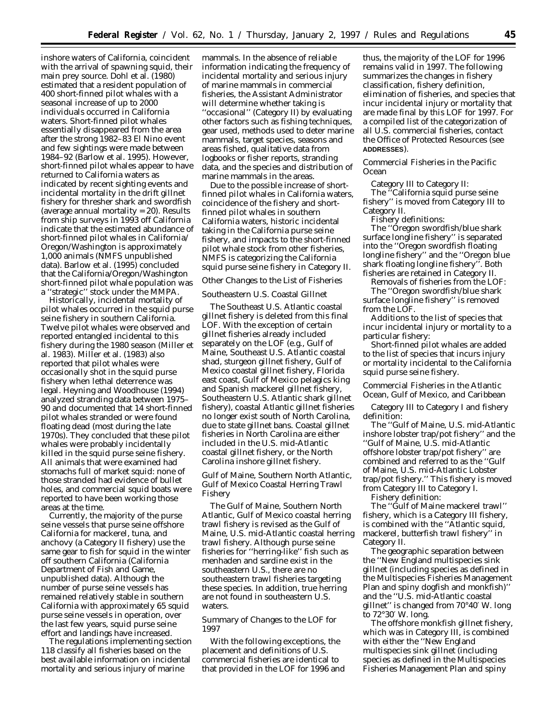inshore waters of California, coincident with the arrival of spawning squid, their main prey source. Dohl et al. (1980) estimated that a resident population of 400 short-finned pilot whales with a seasonal increase of up to 2000 individuals occurred in California waters. Short-finned pilot whales essentially disappeared from the area after the strong 1982–83 El Nino event and few sightings were made between 1984–92 (Barlow et al. 1995). However, short-finned pilot whales appear to have returned to California waters as indicated by recent sighting events and incidental mortality in the drift gillnet fishery for thresher shark and swordfish (average annual mortality = 20). Results from ship surveys in 1993 off California indicate that the estimated abundance of short-finned pilot whales in California/ Oregon/Washington is approximately 1,000 animals (NMFS unpublished data). Barlow et al. (1995) concluded that the California/Oregon/Washington short-finned pilot whale population was a ''strategic'' stock under the MMPA.

Historically, incidental mortality of pilot whales occurred in the squid purse seine fishery in southern California. Twelve pilot whales were observed and reported entangled incidental to this fishery during the 1980 season (Miller et al. 1983). Miller et al. (1983) also reported that pilot whales were occasionally shot in the squid purse fishery when lethal deterrence was legal. Heyning and Woodhouse (1994) analyzed stranding data between 1975– 90 and documented that 14 short-finned pilot whales stranded or were found floating dead (most during the late 1970s). They concluded that these pilot whales were probably incidentally killed in the squid purse seine fishery. All animals that were examined had stomachs full of market squid: none of those stranded had evidence of bullet holes, and commercial squid boats were reported to have been working those areas at the time.

Currently, the majority of the purse seine vessels that purse seine offshore California for mackerel, tuna, and anchovy (a Category II fishery) use the same gear to fish for squid in the winter off southern California (California Department of Fish and Game, unpublished data). Although the number of purse seine vessels has remained relatively stable in southern California with approximately 65 squid purse seine vessels in operation, over the last few years, squid purse seine effort and landings have increased.

The regulations implementing section 118 classify all fisheries based on the best available information on incidental mortality and serious injury of marine

mammals. In the absence of reliable information indicating the frequency of incidental mortality and serious injury of marine mammals in commercial fisheries, the Assistant Administrator will determine whether taking is ''occasional'' (Category II) by evaluating other factors such as fishing techniques, gear used, methods used to deter marine mammals, target species, seasons and areas fished, qualitative data from logbooks or fisher reports, stranding data, and the species and distribution of marine mammals in the areas.

Due to the possible increase of shortfinned pilot whales in California waters, coincidence of the fishery and shortfinned pilot whales in southern California waters, historic incidental taking in the California purse seine fishery, and impacts to the short-finned pilot whale stock from other fisheries, NMFS is categorizing the California squid purse seine fishery in Category II.

### *Other Changes to the List of Fisheries*

#### Southeastern U.S. Coastal Gillnet

The Southeast U.S. Atlantic coastal gillnet fishery is deleted from this final LOF. With the exception of certain gillnet fisheries already included separately on the LOF (e.g., Gulf of Maine, Southeast U.S. Atlantic coastal shad, sturgeon gillnet fishery, Gulf of Mexico coastal gillnet fishery, Florida east coast, Gulf of Mexico pelagics king and Spanish mackerel gillnet fishery, Southeastern U.S. Atlantic shark gillnet fishery), coastal Atlantic gillnet fisheries no longer exist south of North Carolina, due to state gillnet bans. Coastal gillnet fisheries in North Carolina are either included in the U.S. mid-Atlantic coastal gillnet fishery, or the North Carolina inshore gillnet fishery.

Gulf of Maine, Southern North Atlantic, Gulf of Mexico Coastal Herring Trawl Fishery

The Gulf of Maine, Southern North Atlantic, Gulf of Mexico coastal herring trawl fishery is revised as the Gulf of Maine, U.S. mid-Atlantic coastal herring trawl fishery. Although purse seine fisheries for ''herring-like'' fish such as menhaden and sardine exist in the southeastern U.S., there are no southeastern trawl fisheries targeting these species. In addition, true herring are not found in southeastern U.S. waters.

## *Summary of Changes to the LOF for 1997*

With the following exceptions, the placement and definitions of U.S. commercial fisheries are identical to that provided in the LOF for 1996 and

thus, the majority of the LOF for 1996 remains valid in 1997. The following summarizes the changes in fishery classification, fishery definition, elimination of fisheries, and species that incur incidental injury or mortality that are made final by this LOF for 1997. For a compiled list of the categorization of all U.S. commercial fisheries, contact the Office of Protected Resources (see **ADDRESSES**).

Commercial Fisheries in the Pacific Ocean

Category III to Category II: The ''California squid purse seine fishery'' is moved from Category III to Category II.

Fishery definitions:

The ''Oregon swordfish/blue shark surface longline fishery'' is separated into the ''Oregon swordfish floating longline fishery'' and the ''Oregon blue shark floating longline fishery''. Both fisheries are retained in Category II.

Removals of fisheries from the LOF: The ''Oregon swordfish/blue shark surface longline fishery'' is removed from the LOF.

Additions to the list of species that incur incidental injury or mortality to a particular fishery:

Short-finned pilot whales are added to the list of species that incurs injury or mortality incidental to the California squid purse seine fishery.

Commercial Fisheries in the Atlantic Ocean, Gulf of Mexico, and Caribbean

Category III to Category I and fishery definition:

The ''Gulf of Maine, U.S. mid-Atlantic inshore lobster trap/pot fishery'' and the ''Gulf of Maine, U.S. mid-Atlantic offshore lobster trap/pot fishery'' are combined and referred to as the ''Gulf of Maine, U.S. mid-Atlantic Lobster trap/pot fishery.'' This fishery is moved from Category III to Category I.

Fishery definition:

The ''Gulf of Maine mackerel trawl'' fishery, which is a Category III fishery, is combined with the ''Atlantic squid, mackerel, butterfish trawl fishery'' in Category II.

The geographic separation between the ''New England multispecies sink gillnet (including species as defined in the Multispecies Fisheries Management Plan and spiny dogfish and monkfish)'' and the ''U.S. mid-Atlantic coastal gillnet'' is changed from 70°40′ W. long to 72°30′ W. long.

The offshore monkfish gillnet fishery, which was in Category III, is combined with either the ''New England multispecies sink gillnet (including species as defined in the Multispecies Fisheries Management Plan and spiny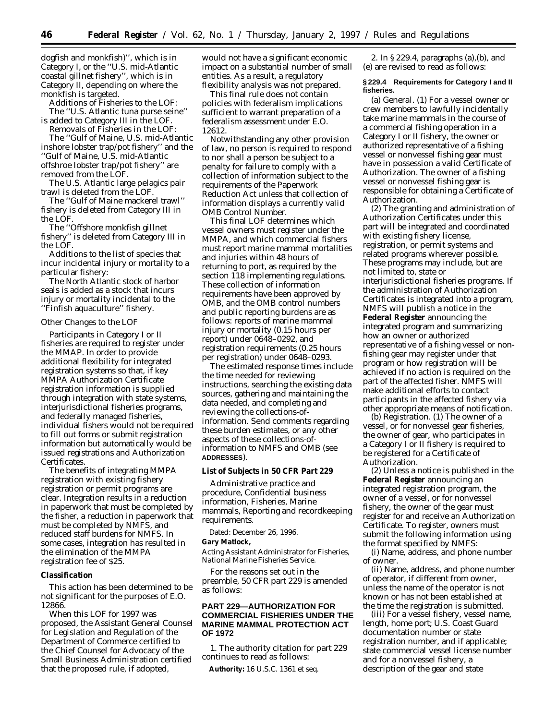dogfish and monkfish)'', which is in Category I, or the ''U.S. mid-Atlantic coastal gillnet fishery'', which is in Category II, depending on where the monkfish is targeted.

Additions of Fisheries to the LOF: The ''U.S. Atlantic tuna purse seine'' is added to Category III in the LOF.

Removals of Fisheries in the LOF: The ''Gulf of Maine, U.S. mid-Atlantic

inshore lobster trap/pot fishery'' and the ''Gulf of Maine, U.S. mid-Atlantic offshroe lobster trap/pot fishery'' are removed from the LOF.

The U.S. Atlantic large pelagics pair trawl is deleted from the LOF.

The ''Gulf of Maine mackerel trawl'' fishery is deleted from Category III in the LOF.

The ''Offshore monkfish gillnet fishery'' is deleted from Category III in the LOF.

Additions to the list of species that incur incidental injury or mortality to a particular fishery:

The North Atlantic stock of harbor seals is added as a stock that incurs injury or mortality incidental to the ''Finfish aquaculture'' fishery.

#### Other Changes to the LOF

Participants in Category I or II fisheries are required to register under the MMAP. In order to provide additional flexibility for integrated registration systems so that, if key MMPA Authorization Certificate registration information is supplied through integration with state systems, interjurisdictional fisheries programs, and federally managed fisheries, individual fishers would not be required to fill out forms or submit registration information but automatically would be issued registrations and Authorization Certificates.

The benefits of integrating MMPA registration with existing fishery registration or permit programs are clear. Integration results in a reduction in paperwork that must be completed by the fisher, a reduction in paperwork that must be completed by NMFS, and reduced staff burdens for NMFS. In some cases, integration has resulted in the elimination of the MMPA registration fee of \$25.

### **Classification**

This action has been determined to be not significant for the purposes of E.O. 12866.

When this LOF for 1997 was proposed, the Assistant General Counsel for Legislation and Regulation of the Department of Commerce certified to the Chief Counsel for Advocacy of the Small Business Administration certified that the proposed rule, if adopted,

would not have a significant economic impact on a substantial number of small entities. As a result, a regulatory flexibility analysis was not prepared.

This final rule does not contain policies with federalism implications sufficient to warrant preparation of a federalism assessment under E.O. 12612.

Notwithstanding any other provision of law, no person is required to respond to nor shall a person be subject to a penalty for failure to comply with a collection of information subject to the requirements of the Paperwork Reduction Act unless that collection of information displays a currently valid OMB Control Number.

This final LOF determines which vessel owners must register under the MMPA, and which commercial fishers must report marine mammal mortalities and injuries within 48 hours of returning to port, as required by the section 118 implementing regulations. These collection of information requirements have been approved by OMB, and the OMB control numbers and public reporting burdens are as follows: reports of marine mammal injury or mortality (0.15 hours per report) under 0648–0292, and registration requirements (0.25 hours per registration) under 0648–0293.

The estimated response times include the time needed for reviewing instructions, searching the existing data sources, gathering and maintaining the data needed, and completing and reviewing the collections-ofinformation. Send comments regarding these burden estimates, or any other aspects of these collections-ofinformation to NMFS and OMB (see **ADDRESSES**).

**List of Subjects in 50 CFR Part 229**

Administrative practice and procedure, Confidential business information, Fisheries, Marine mammals, Reporting and recordkeeping requirements.

Dated: December 26, 1996.

#### **Gary Matlock,**

*Acting Assistant Administrator for Fisheries, National Marine Fisheries Service.*

For the reasons set out in the preamble, 50 CFR part 229 is amended as follows:

# **PART 229—AUTHORIZATION FOR COMMERCIAL FISHERIES UNDER THE MARINE MAMMAL PROTECTION ACT OF 1972**

1. The authority citation for part 229 continues to read as follows:

**Authority:** 16 U.S.C. 1361 *et seq.*

2. In § 229.4, paragraphs (a),(b), and (e) are revised to read as follows:

### **§ 229.4 Requirements for Category I and II fisheries.**

(a) *General.* (1) For a vessel owner or crew members to lawfully incidentally take marine mammals in the course of a commercial fishing operation in a Category I or II fishery, the owner or authorized representative of a fishing vessel or nonvessel fishing gear must have in possession a valid Certificate of Authorization. The owner of a fishing vessel or nonvessel fishing gear is responsible for obtaining a Certificate of Authorization.

(2) The granting and administration of Authorization Certificates under this part will be integrated and coordinated with existing fishery license, registration, or permit systems and related programs wherever possible. These programs may include, but are not limited to, state or interjurisdictional fisheries programs. If the administration of Authorization Certificates is integrated into a program, NMFS will publish a notice in the **Federal Register** announcing the integrated program and summarizing how an owner or authorized representative of a fishing vessel or nonfishing gear may register under that program or how registration will be achieved if no action is required on the part of the affected fisher. NMFS will make additional efforts to contact participants in the affected fishery via other appropriate means of notification.

(b) *Registration.* (1) The owner of a vessel, or for nonvessel gear fisheries, the owner of gear, who participates in a Category I or II fishery is required to be registered for a Certificate of Authorization.

(2) Unless a notice is published in the **Federal Register** announcing an integrated registration program, the owner of a vessel, or for nonvessel fishery, the owner of the gear must register for and receive an Authorization Certificate. To register, owners must submit the following information using the format specified by NMFS:

(i) Name, address, and phone number of owner.

(ii) Name, address, and phone number of operator, if different from owner, unless the name of the operator is not known or has not been established at the time the registration is submitted.

(iii) For a vessel fishery, vessel name, length, home port; U.S. Coast Guard documentation number or state registration number, and if applicable; state commercial vessel license number and for a nonvessel fishery, a description of the gear and state